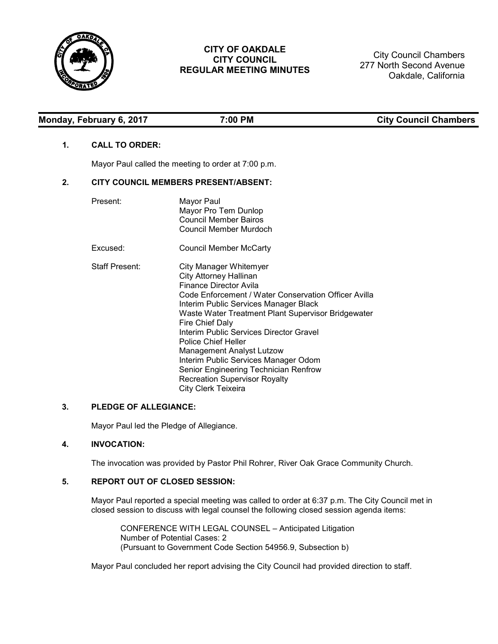

## **CITY OF OAKDALE CITY COUNCIL REGULAR MEETING MINUTES**

City Council Chambers 277 North Second Avenue Oakdale, California

| Monday, February 6, 2017 |
|--------------------------|
|--------------------------|

**Monday, February 6, 2017 7:00 PM City Council Chambers**

## **1. CALL TO ORDER:**

Mayor Paul called the meeting to order at 7:00 p.m.

## **2. CITY COUNCIL MEMBERS PRESENT/ABSENT:**

| Present:              | Mayor Paul<br>Mayor Pro Tem Dunlop<br>Council Member Bairos<br>Council Member Murdoch                                                                                                                                                                                                                                                                                                                                                                                                                             |
|-----------------------|-------------------------------------------------------------------------------------------------------------------------------------------------------------------------------------------------------------------------------------------------------------------------------------------------------------------------------------------------------------------------------------------------------------------------------------------------------------------------------------------------------------------|
| Excused:              | Council Member McCarty                                                                                                                                                                                                                                                                                                                                                                                                                                                                                            |
| <b>Staff Present:</b> | City Manager Whitemyer<br>City Attorney Hallinan<br>Finance Director Avila<br>Code Enforcement / Water Conservation Officer Avilla<br>Interim Public Services Manager Black<br>Waste Water Treatment Plant Supervisor Bridgewater<br>Fire Chief Daly<br>Interim Public Services Director Gravel<br><b>Police Chief Heller</b><br><b>Management Analyst Lutzow</b><br>Interim Public Services Manager Odom<br>Senior Engineering Technician Renfrow<br><b>Recreation Supervisor Royalty</b><br>City Clerk Teixeira |

# **3. PLEDGE OF ALLEGIANCE:**

Mayor Paul led the Pledge of Allegiance.

## **4. INVOCATION:**

The invocation was provided by Pastor Phil Rohrer, River Oak Grace Community Church.

## **5. REPORT OUT OF CLOSED SESSION:**

Mayor Paul reported a special meeting was called to order at 6:37 p.m. The City Council met in closed session to discuss with legal counsel the following closed session agenda items:

CONFERENCE WITH LEGAL COUNSEL – Anticipated Litigation Number of Potential Cases: 2 (Pursuant to Government Code Section 54956.9, Subsection b)

Mayor Paul concluded her report advising the City Council had provided direction to staff.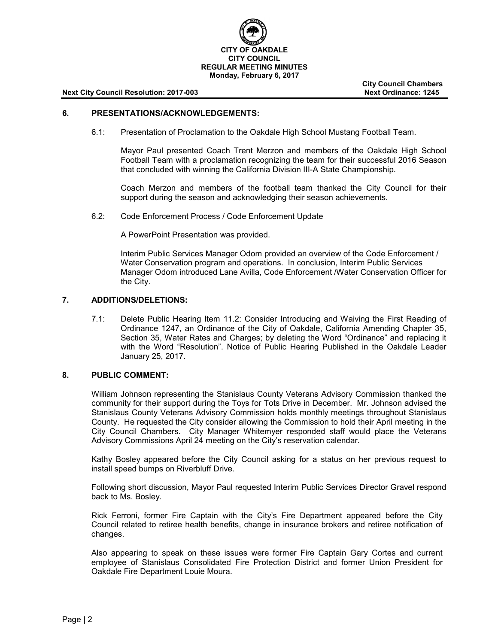

**City Council Chambers**

#### **6. PRESENTATIONS/ACKNOWLEDGEMENTS:**

6.1: Presentation of Proclamation to the Oakdale High School Mustang Football Team.

Mayor Paul presented Coach Trent Merzon and members of the Oakdale High School Football Team with a proclamation recognizing the team for their successful 2016 Season that concluded with winning the California Division III-A State Championship.

Coach Merzon and members of the football team thanked the City Council for their support during the season and acknowledging their season achievements.

6.2: Code Enforcement Process / Code Enforcement Update

A PowerPoint Presentation was provided.

Interim Public Services Manager Odom provided an overview of the Code Enforcement / Water Conservation program and operations. In conclusion, Interim Public Services Manager Odom introduced Lane Avilla, Code Enforcement /Water Conservation Officer for the City.

## **7. ADDITIONS/DELETIONS:**

7.1: Delete Public Hearing Item 11.2: Consider Introducing and Waiving the First Reading of Ordinance 1247, an Ordinance of the City of Oakdale, California Amending Chapter 35, Section 35, Water Rates and Charges; by deleting the Word "Ordinance" and replacing it with the Word "Resolution". Notice of Public Hearing Published in the Oakdale Leader January 25, 2017.

## **8. PUBLIC COMMENT:**

William Johnson representing the Stanislaus County Veterans Advisory Commission thanked the community for their support during the Toys for Tots Drive in December. Mr. Johnson advised the Stanislaus County Veterans Advisory Commission holds monthly meetings throughout Stanislaus County. He requested the City consider allowing the Commission to hold their April meeting in the City Council Chambers. City Manager Whitemyer responded staff would place the Veterans Advisory Commissions April 24 meeting on the City's reservation calendar.

Kathy Bosley appeared before the City Council asking for a status on her previous request to install speed bumps on Riverbluff Drive.

Following short discussion, Mayor Paul requested Interim Public Services Director Gravel respond back to Ms. Bosley.

Rick Ferroni, former Fire Captain with the City's Fire Department appeared before the City Council related to retiree health benefits, change in insurance brokers and retiree notification of changes.

Also appearing to speak on these issues were former Fire Captain Gary Cortes and current employee of Stanislaus Consolidated Fire Protection District and former Union President for Oakdale Fire Department Louie Moura.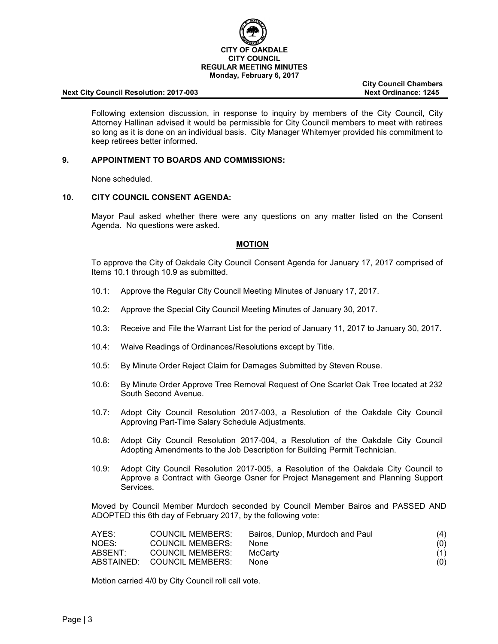

**City Council Chambers**

Following extension discussion, in response to inquiry by members of the City Council, City Attorney Hallinan advised it would be permissible for City Council members to meet with retirees so long as it is done on an individual basis. City Manager Whitemyer provided his commitment to keep retirees better informed.

#### **9. APPOINTMENT TO BOARDS AND COMMISSIONS:**

None scheduled.

## **10. CITY COUNCIL CONSENT AGENDA:**

Mayor Paul asked whether there were any questions on any matter listed on the Consent Agenda. No questions were asked.

## **MOTION**

To approve the City of Oakdale City Council Consent Agenda for January 17, 2017 comprised of Items 10.1 through 10.9 as submitted.

- 10.1: Approve the Regular City Council Meeting Minutes of January 17, 2017.
- 10.2: Approve the Special City Council Meeting Minutes of January 30, 2017.
- 10.3: Receive and File the Warrant List for the period of January 11, 2017 to January 30, 2017.
- 10.4: Waive Readings of Ordinances/Resolutions except by Title.
- 10.5: By Minute Order Reject Claim for Damages Submitted by Steven Rouse.
- 10.6: By Minute Order Approve Tree Removal Request of One Scarlet Oak Tree located at 232 South Second Avenue.
- 10.7: Adopt City Council Resolution 2017-003, a Resolution of the Oakdale City Council Approving Part-Time Salary Schedule Adjustments.
- 10.8: Adopt City Council Resolution 2017-004, a Resolution of the Oakdale City Council Adopting Amendments to the Job Description for Building Permit Technician.
- 10.9: Adopt City Council Resolution 2017-005, a Resolution of the Oakdale City Council to Approve a Contract with George Osner for Project Management and Planning Support Services.

Moved by Council Member Murdoch seconded by Council Member Bairos and PASSED AND ADOPTED this 6th day of February 2017, by the following vote:

| AYES:   | <b>COUNCIL MEMBERS:</b>     | Bairos, Dunlop, Murdoch and Paul | (4) |
|---------|-----------------------------|----------------------------------|-----|
| NOES:   | COUNCIL MEMBERS:            | <b>None</b>                      | (0) |
| ABSENT: | <b>COUNCIL MEMBERS:</b>     | McCarty                          | (1) |
|         | ABSTAINED: COUNCIL MEMBERS: | <b>None</b>                      | (0) |

Motion carried 4/0 by City Council roll call vote.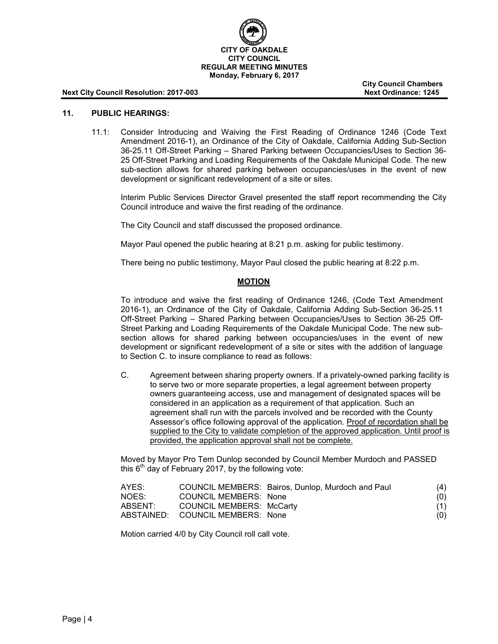

**City Council Chambers**

## **11. PUBLIC HEARINGS:**

11.1: Consider Introducing and Waiving the First Reading of Ordinance 1246 (Code Text Amendment 2016-1), an Ordinance of the City of Oakdale, California Adding Sub-Section 36-25.11 Off-Street Parking – Shared Parking between Occupancies/Uses to Section 36- 25 Off-Street Parking and Loading Requirements of the Oakdale Municipal Code. The new sub-section allows for shared parking between occupancies/uses in the event of new development or significant redevelopment of a site or sites.

Interim Public Services Director Gravel presented the staff report recommending the City Council introduce and waive the first reading of the ordinance.

The City Council and staff discussed the proposed ordinance.

Mayor Paul opened the public hearing at 8:21 p.m. asking for public testimony.

There being no public testimony, Mayor Paul closed the public hearing at 8:22 p.m.

## **MOTION**

To introduce and waive the first reading of Ordinance 1246, (Code Text Amendment 2016-1), an Ordinance of the City of Oakdale, California Adding Sub-Section 36-25.11 Off-Street Parking – Shared Parking between Occupancies/Uses to Section 36-25 Off-Street Parking and Loading Requirements of the Oakdale Municipal Code. The new subsection allows for shared parking between occupancies/uses in the event of new development or significant redevelopment of a site or sites with the addition of language to Section C. to insure compliance to read as follows:

C. Agreement between sharing property owners. If a privately-owned parking facility is to serve two or more separate properties, a legal agreement between property owners guaranteeing access, use and management of designated spaces will be considered in an application as a requirement of that application. Such an agreement shall run with the parcels involved and be recorded with the County Assessor's office following approval of the application. Proof of recordation shall be supplied to the City to validate completion of the approved application. Until proof is provided, the application approval shall not be complete.

Moved by Mayor Pro Tem Dunlop seconded by Council Member Murdoch and PASSED this  $6<sup>th</sup>$  day of February 2017, by the following vote:

| AYES:   |                                  | COUNCIL MEMBERS: Bairos, Dunlop, Murdoch and Paul | (4) |
|---------|----------------------------------|---------------------------------------------------|-----|
| NOES:   | COUNCIL MEMBERS: None            |                                                   | (O) |
| ABSENT: | COUNCIL MEMBERS: McCarty         |                                                   | (1) |
|         | ABSTAINED: COUNCIL MEMBERS: None |                                                   | (0) |

Motion carried 4/0 by City Council roll call vote.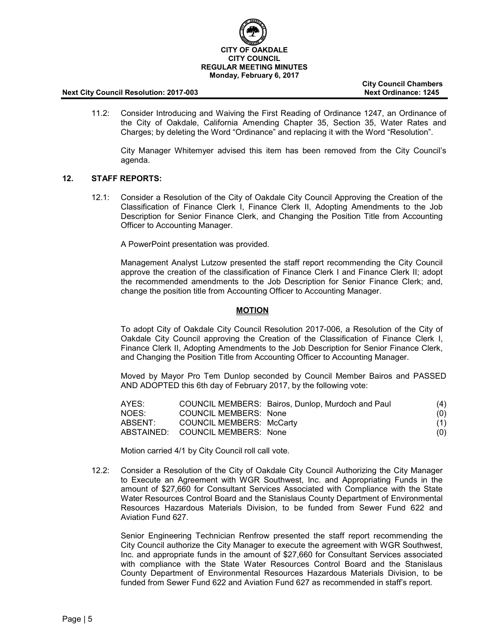

**City Council Chambers**

11.2: Consider Introducing and Waiving the First Reading of Ordinance 1247, an Ordinance of the City of Oakdale, California Amending Chapter 35, Section 35, Water Rates and Charges; by deleting the Word "Ordinance" and replacing it with the Word "Resolution".

City Manager Whitemyer advised this item has been removed from the City Council's agenda.

## **12. STAFF REPORTS:**

12.1: Consider a Resolution of the City of Oakdale City Council Approving the Creation of the Classification of Finance Clerk I, Finance Clerk II, Adopting Amendments to the Job Description for Senior Finance Clerk, and Changing the Position Title from Accounting Officer to Accounting Manager.

A PowerPoint presentation was provided.

Management Analyst Lutzow presented the staff report recommending the City Council approve the creation of the classification of Finance Clerk I and Finance Clerk II; adopt the recommended amendments to the Job Description for Senior Finance Clerk; and, change the position title from Accounting Officer to Accounting Manager.

## **MOTION**

To adopt City of Oakdale City Council Resolution 2017-006, a Resolution of the City of Oakdale City Council approving the Creation of the Classification of Finance Clerk I, Finance Clerk II, Adopting Amendments to the Job Description for Senior Finance Clerk, and Changing the Position Title from Accounting Officer to Accounting Manager.

Moved by Mayor Pro Tem Dunlop seconded by Council Member Bairos and PASSED AND ADOPTED this 6th day of February 2017, by the following vote:

| AYES:   |                                  | COUNCIL MEMBERS: Bairos, Dunlop, Murdoch and Paul | (4) |
|---------|----------------------------------|---------------------------------------------------|-----|
| NOES:   | <b>COUNCIL MEMBERS: None</b>     |                                                   | (0) |
| ABSENT: | COUNCIL MEMBERS: McCarty         |                                                   | (1) |
|         | ABSTAINED: COUNCIL MEMBERS: None |                                                   | (0) |

Motion carried 4/1 by City Council roll call vote.

12.2: Consider a Resolution of the City of Oakdale City Council Authorizing the City Manager to Execute an Agreement with WGR Southwest, Inc. and Appropriating Funds in the amount of \$27,660 for Consultant Services Associated with Compliance with the State Water Resources Control Board and the Stanislaus County Department of Environmental Resources Hazardous Materials Division, to be funded from Sewer Fund 622 and Aviation Fund 627.

Senior Engineering Technician Renfrow presented the staff report recommending the City Council authorize the City Manager to execute the agreement with WGR Southwest, Inc. and appropriate funds in the amount of \$27,660 for Consultant Services associated with compliance with the State Water Resources Control Board and the Stanislaus County Department of Environmental Resources Hazardous Materials Division, to be funded from Sewer Fund 622 and Aviation Fund 627 as recommended in staff's report.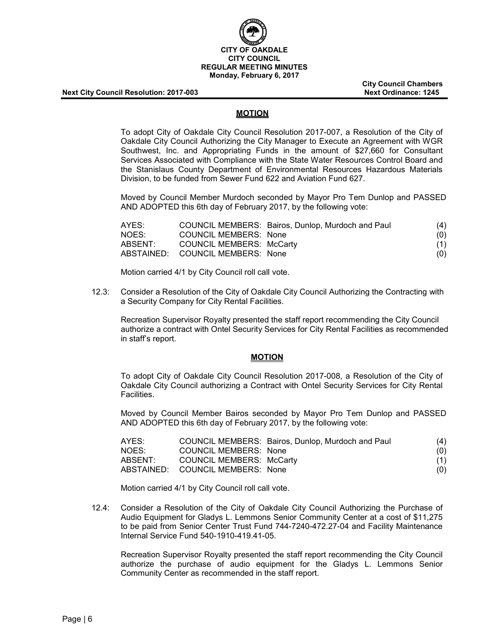

**City Council Chambers**

## **MOTION**

To adopt City of Oakdale City Council Resolution 2017-007, a Resolution of the City of Oakdale City Council Authorizing the City Manager to Execute an Agreement with WGR Southwest, Inc. and Appropriating Funds in the amount of \$27,660 for Consultant Services Associated with Compliance with the State Water Resources Control Board and the Stanislaus County Department of Environmental Resources Hazardous Materials Division, to be funded from Sewer Fund 622 and Aviation Fund 627.

Moved by Council Member Murdoch seconded by Mayor Pro Tem Dunlop and PASSED AND ADOPTED this 6th day of February 2017, by the following vote:

| AYES:   |                                  | COUNCIL MEMBERS: Bairos, Dunlop, Murdoch and Paul | (4) |
|---------|----------------------------------|---------------------------------------------------|-----|
| NOES:   | COUNCIL MEMBERS: None            |                                                   | (0) |
| ABSENT: | COUNCIL MEMBERS: McCarty         |                                                   | (1) |
|         | ABSTAINED: COUNCIL MEMBERS: None |                                                   | (O) |

Motion carried 4/1 by City Council roll call vote.

12.3: Consider a Resolution of the City of Oakdale City Council Authorizing the Contracting with a Security Company for City Rental Facilities.

Recreation Supervisor Royalty presented the staff report recommending the City Council authorize a contract with Ontel Security Services for City Rental Facilities as recommended in staff's report.

#### **MOTION**

To adopt City of Oakdale City Council Resolution 2017-008, a Resolution of the City of Oakdale City Council authorizing a Contract with Ontel Security Services for City Rental Facilities.

Moved by Council Member Bairos seconded by Mayor Pro Tem Dunlop and PASSED AND ADOPTED this 6th day of February 2017, by the following vote:

| AYES:   |                                  | COUNCIL MEMBERS: Bairos, Dunlop, Murdoch and Paul | (4) |
|---------|----------------------------------|---------------------------------------------------|-----|
| NOES:   | COUNCIL MEMBERS: None            |                                                   | (0) |
| ABSENT: | <b>COUNCIL MEMBERS: McCarty</b>  |                                                   | (1) |
|         | ABSTAINED: COUNCIL MEMBERS: None |                                                   | (0) |

Motion carried 4/1 by City Council roll call vote.

12.4: Consider a Resolution of the City of Oakdale City Council Authorizing the Purchase of Audio Equipment for Gladys L. Lemmons Senior Community Center at a cost of \$11,275 to be paid from Senior Center Trust Fund 744-7240-472.27-04 and Facility Maintenance Internal Service Fund 540-1910-419.41-05.

Recreation Supervisor Royalty presented the staff report recommending the City Council authorize the purchase of audio equipment for the Gladys L. Lemmons Senior Community Center as recommended in the staff report.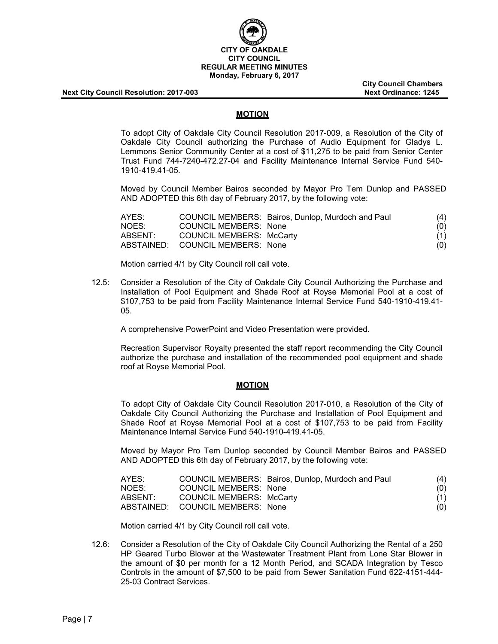

**City Council Chambers**

## **MOTION**

To adopt City of Oakdale City Council Resolution 2017-009, a Resolution of the City of Oakdale City Council authorizing the Purchase of Audio Equipment for Gladys L. Lemmons Senior Community Center at a cost of \$11,275 to be paid from Senior Center Trust Fund 744-7240-472.27-04 and Facility Maintenance Internal Service Fund 540- 1910-419.41-05.

Moved by Council Member Bairos seconded by Mayor Pro Tem Dunlop and PASSED AND ADOPTED this 6th day of February 2017, by the following vote:

| AYES:   |                                  | COUNCIL MEMBERS: Bairos, Dunlop, Murdoch and Paul | (4) |
|---------|----------------------------------|---------------------------------------------------|-----|
| NOES:   | <b>COUNCIL MEMBERS: None</b>     |                                                   | (O) |
| ABSENT: | COUNCIL MEMBERS: McCarty         |                                                   | (1) |
|         | ABSTAINED: COUNCIL MEMBERS: None |                                                   | (O) |

Motion carried 4/1 by City Council roll call vote.

12.5: Consider a Resolution of the City of Oakdale City Council Authorizing the Purchase and Installation of Pool Equipment and Shade Roof at Royse Memorial Pool at a cost of \$107,753 to be paid from Facility Maintenance Internal Service Fund 540-1910-419.41- 05.

A comprehensive PowerPoint and Video Presentation were provided.

Recreation Supervisor Royalty presented the staff report recommending the City Council authorize the purchase and installation of the recommended pool equipment and shade roof at Royse Memorial Pool.

## **MOTION**

To adopt City of Oakdale City Council Resolution 2017-010, a Resolution of the City of Oakdale City Council Authorizing the Purchase and Installation of Pool Equipment and Shade Roof at Royse Memorial Pool at a cost of \$107,753 to be paid from Facility Maintenance Internal Service Fund 540-1910-419.41-05.

Moved by Mayor Pro Tem Dunlop seconded by Council Member Bairos and PASSED AND ADOPTED this 6th day of February 2017, by the following vote:

| AYES:   |                                  | COUNCIL MEMBERS: Bairos, Dunlop, Murdoch and Paul | (4) |
|---------|----------------------------------|---------------------------------------------------|-----|
| NOES:   | COUNCIL MEMBERS: None            |                                                   | (0) |
| ABSENT: | COUNCIL MEMBERS: McCarty         |                                                   | (1) |
|         | ABSTAINED: COUNCIL MEMBERS: None |                                                   | (0) |

Motion carried 4/1 by City Council roll call vote.

12.6: Consider a Resolution of the City of Oakdale City Council Authorizing the Rental of a 250 HP Geared Turbo Blower at the Wastewater Treatment Plant from Lone Star Blower in the amount of \$0 per month for a 12 Month Period, and SCADA Integration by Tesco Controls in the amount of \$7,500 to be paid from Sewer Sanitation Fund 622-4151-444- 25-03 Contract Services.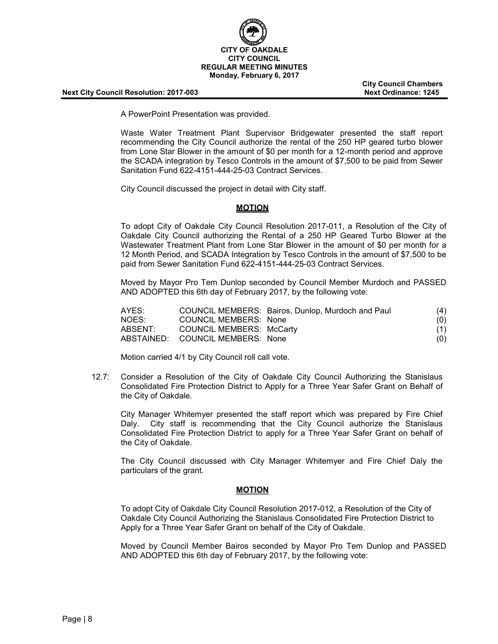

**City Council Chambers**

A PowerPoint Presentation was provided.

Waste Water Treatment Plant Supervisor Bridgewater presented the staff report recommending the City Council authorize the rental of the 250 HP geared turbo blower from Lone Star Blower in the amount of \$0 per month for a 12-month period and approve the SCADA integration by Tesco Controls in the amount of \$7,500 to be paid from Sewer Sanitation Fund 622-4151-444-25-03 Contract Services.

City Council discussed the project in detail with City staff.

## **MOTION**

To adopt City of Oakdale City Council Resolution 2017-011, a Resolution of the City of Oakdale City Council authorizing the Rental of a 250 HP Geared Turbo Blower at the Wastewater Treatment Plant from Lone Star Blower in the amount of \$0 per month for a 12 Month Period, and SCADA Integration by Tesco Controls in the amount of \$7,500 to be paid from Sewer Sanitation Fund 622-4151-444-25-03 Contract Services.

Moved by Mayor Pro Tem Dunlop seconded by Council Member Murdoch and PASSED AND ADOPTED this 6th day of February 2017, by the following vote:

| AYES:   |                                  | COUNCIL MEMBERS: Bairos, Dunlop, Murdoch and Paul | (4) |
|---------|----------------------------------|---------------------------------------------------|-----|
| NOES:   | COUNCIL MEMBERS: None            |                                                   | (0) |
| ABSENT: | COUNCIL MEMBERS: McCarty         |                                                   | (1) |
|         | ABSTAINED: COUNCIL MEMBERS: None |                                                   | (O) |

Motion carried 4/1 by City Council roll call vote.

12.7: Consider a Resolution of the City of Oakdale City Council Authorizing the Stanislaus Consolidated Fire Protection District to Apply for a Three Year Safer Grant on Behalf of the City of Oakdale.

City Manager Whitemyer presented the staff report which was prepared by Fire Chief Daly. City staff is recommending that the City Council authorize the Stanislaus Consolidated Fire Protection District to apply for a Three Year Safer Grant on behalf of the City of Oakdale.

The City Council discussed with City Manager Whitemyer and Fire Chief Daly the particulars of the grant.

#### **MOTION**

To adopt City of Oakdale City Council Resolution 2017-012, a Resolution of the City of Oakdale City Council Authorizing the Stanislaus Consolidated Fire Protection District to Apply for a Three Year Safer Grant on behalf of the City of Oakdale.

Moved by Council Member Bairos seconded by Mayor Pro Tem Dunlop and PASSED AND ADOPTED this 6th day of February 2017, by the following vote: